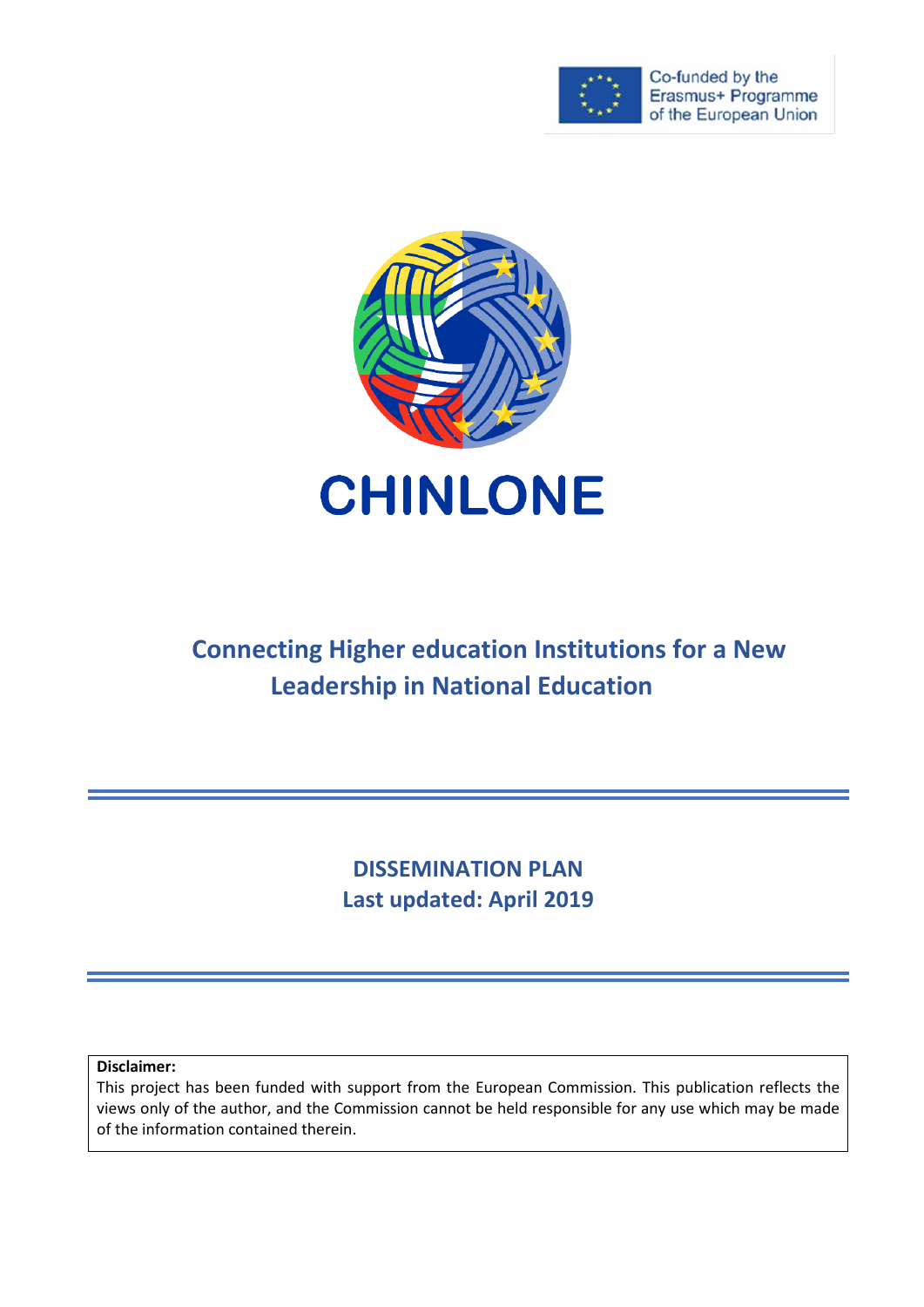

Co-funded by the Erasmus+ Programme of the European Union



# **Connecting Higher education Institutions for a New Leadership in National Education**

**DISSEMINATION PLAN Last updated: April 2019**

**Disclaimer:**

This project has been funded with support from the European Commission. This publication reflects the views only of the author, and the Commission cannot be held responsible for any use which may be made of the information contained therein.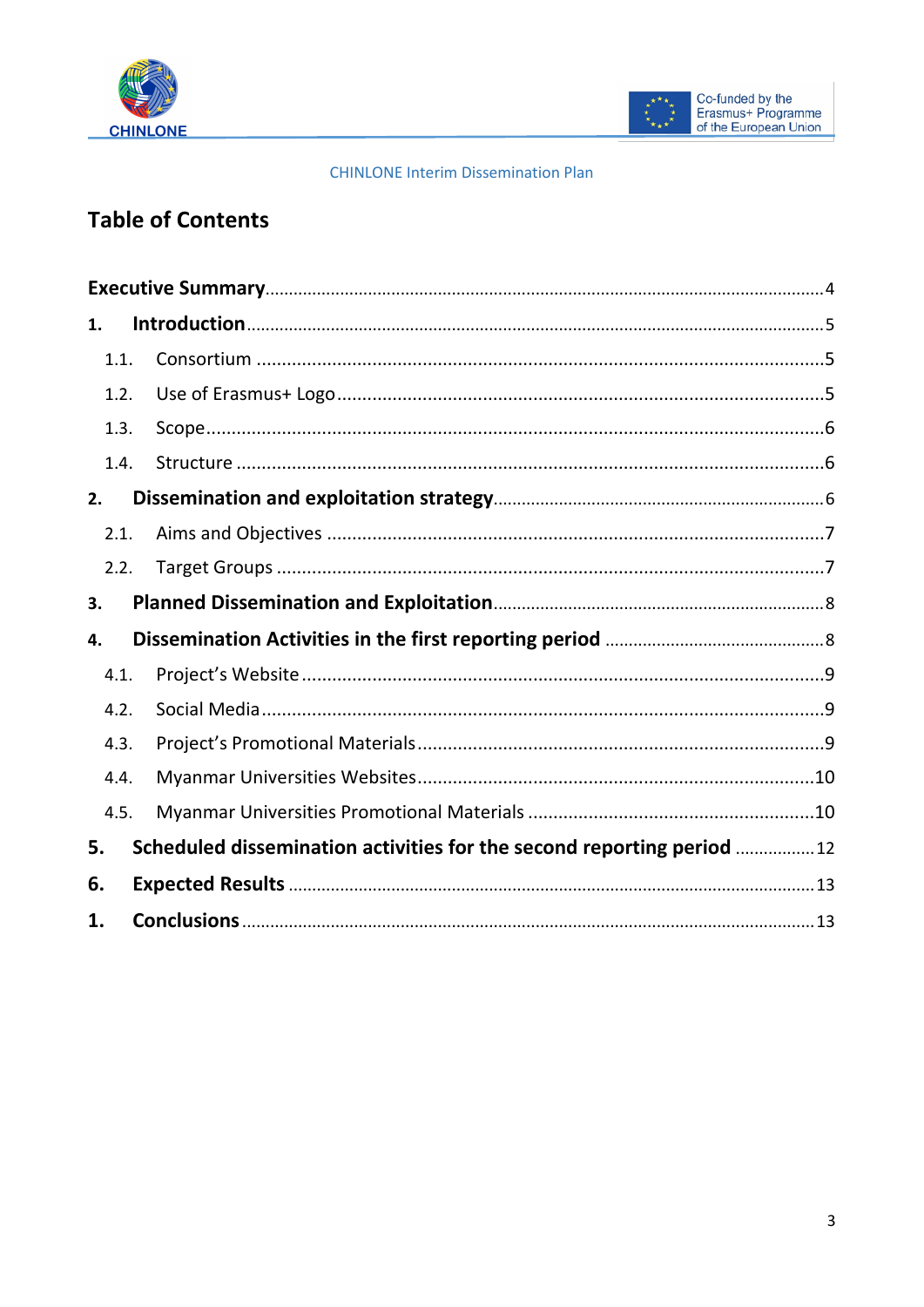



#### **CHINLONE Interim Dissemination Plan**

## **Table of Contents**

| 1.   |                                                                       |
|------|-----------------------------------------------------------------------|
| 1.1. |                                                                       |
| 1.2. |                                                                       |
| 1.3. |                                                                       |
| 1.4. |                                                                       |
| 2.   |                                                                       |
| 2.1. |                                                                       |
| 2.2. |                                                                       |
| 3.   |                                                                       |
| 4.   |                                                                       |
| 4.1. |                                                                       |
| 4.2. |                                                                       |
| 4.3. |                                                                       |
| 4.4. |                                                                       |
| 4.5. |                                                                       |
| 5.   | Scheduled dissemination activities for the second reporting period 12 |
| 6.   |                                                                       |
| 1.   |                                                                       |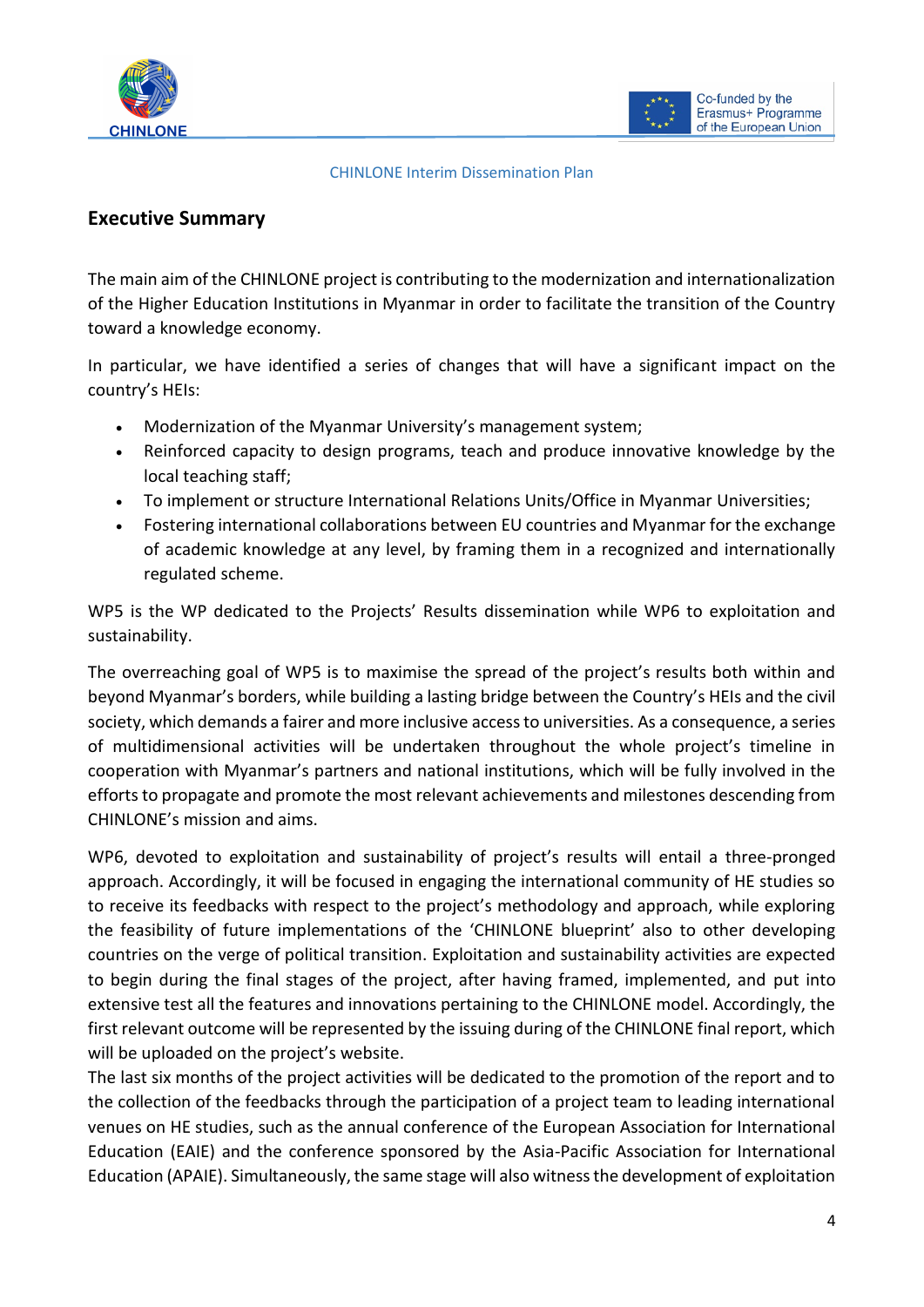



#### CHINLONE Interim Dissemination Plan

## <span id="page-2-0"></span>**Executive Summary**

The main aim of the CHINLONE project is contributing to the modernization and internationalization of the Higher Education Institutions in Myanmar in order to facilitate the transition of the Country toward a knowledge economy.

In particular, we have identified a series of changes that will have a significant impact on the country's HEIs:

- Modernization of the Myanmar University's management system;
- Reinforced capacity to design programs, teach and produce innovative knowledge by the local teaching staff;
- To implement or structure International Relations Units/Office in Myanmar Universities;
- Fostering international collaborations between EU countries and Myanmar for the exchange of academic knowledge at any level, by framing them in a recognized and internationally regulated scheme.

WP5 is the WP dedicated to the Projects' Results dissemination while WP6 to exploitation and sustainability.

The overreaching goal of WP5 is to maximise the spread of the project's results both within and beyond Myanmar's borders, while building a lasting bridge between the Country's HEIs and the civil society, which demands a fairer and more inclusive access to universities. As a consequence, a series of multidimensional activities will be undertaken throughout the whole project's timeline in cooperation with Myanmar's partners and national institutions, which will be fully involved in the efforts to propagate and promote the most relevant achievements and milestones descending from CHINLONE's mission and aims.

WP6, devoted to exploitation and sustainability of project's results will entail a three-pronged approach. Accordingly, it will be focused in engaging the international community of HE studies so to receive its feedbacks with respect to the project's methodology and approach, while exploring the feasibility of future implementations of the 'CHINLONE blueprint' also to other developing countries on the verge of political transition. Exploitation and sustainability activities are expected to begin during the final stages of the project, after having framed, implemented, and put into extensive test all the features and innovations pertaining to the CHINLONE model. Accordingly, the first relevant outcome will be represented by the issuing during of the CHINLONE final report, which will be uploaded on the project's website.

The last six months of the project activities will be dedicated to the promotion of the report and to the collection of the feedbacks through the participation of a project team to leading international venues on HE studies, such as the annual conference of the European Association for International Education (EAIE) and the conference sponsored by the Asia-Pacific Association for International Education (APAIE). Simultaneously, the same stage will also witness the development of exploitation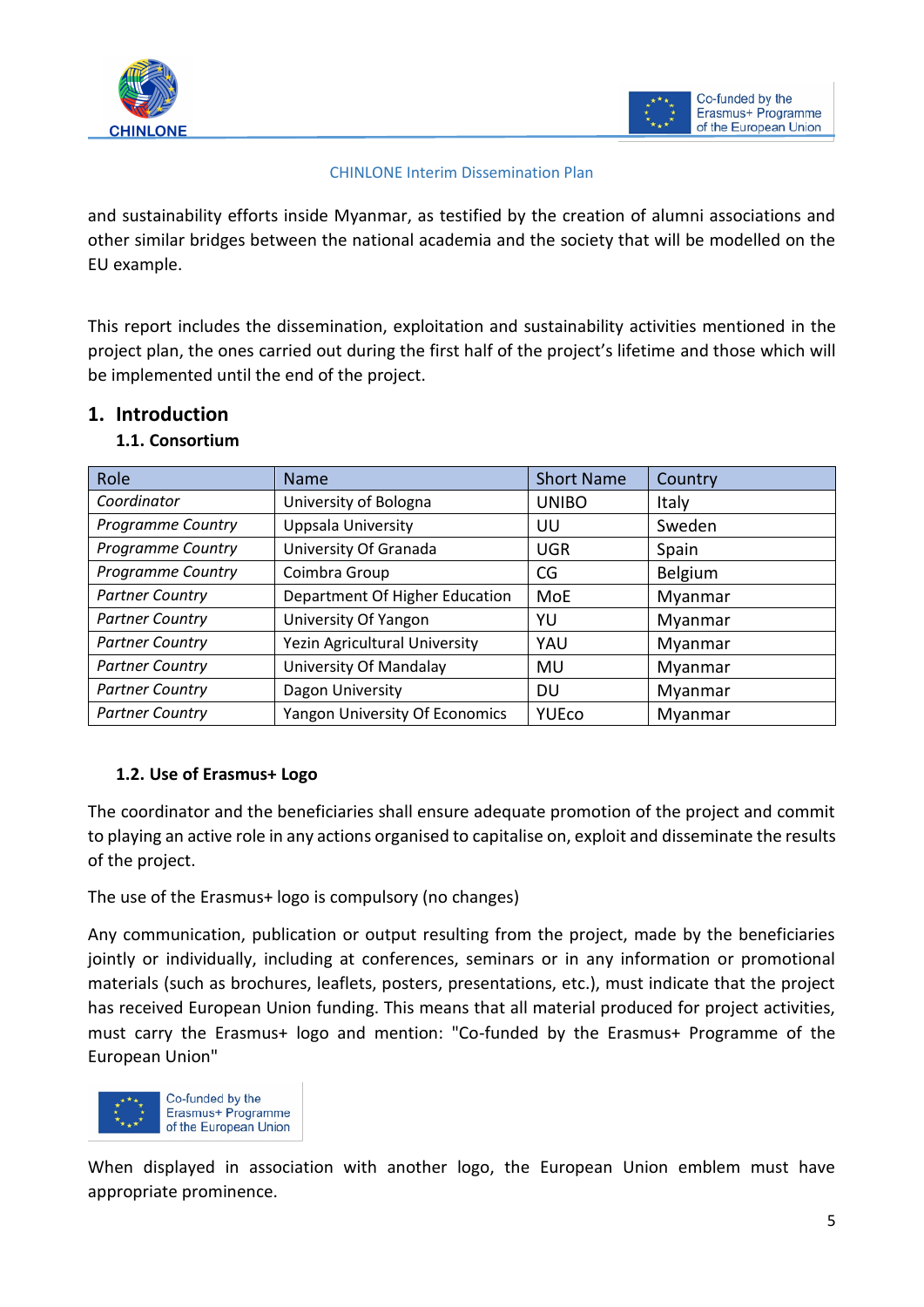



#### CHINLONE Interim Dissemination Plan

and sustainability efforts inside Myanmar, as testified by the creation of alumni associations and other similar bridges between the national academia and the society that will be modelled on the EU example.

This report includes the dissemination, exploitation and sustainability activities mentioned in the project plan, the ones carried out during the first half of the project's lifetime and those which will be implemented until the end of the project.

## <span id="page-3-1"></span><span id="page-3-0"></span>**1. Introduction**

| Role                     | <b>Name</b>                    | <b>Short Name</b> | Country      |
|--------------------------|--------------------------------|-------------------|--------------|
| Coordinator              | University of Bologna          | <b>UNIBO</b>      | <b>Italy</b> |
| Programme Country        | Uppsala University             | UU                | Sweden       |
| <b>Programme Country</b> | University Of Granada          | <b>UGR</b>        | Spain        |
| <b>Programme Country</b> | Coimbra Group                  | CG                | Belgium      |
| <b>Partner Country</b>   | Department Of Higher Education | MoE               | Myanmar      |
| <b>Partner Country</b>   | University Of Yangon           | YU                | Myanmar      |
| <b>Partner Country</b>   | Yezin Agricultural University  | YAU               | Myanmar      |
| <b>Partner Country</b>   | University Of Mandalay         | MU                | Myanmar      |
| <b>Partner Country</b>   | Dagon University               | DU                | Myanmar      |
| <b>Partner Country</b>   | Yangon University Of Economics | <b>YUEco</b>      | Myanmar      |

## **1.1. Consortium**

## <span id="page-3-2"></span>**1.2. Use of Erasmus+ Logo**

The coordinator and the beneficiaries shall ensure adequate promotion of the project and commit to playing an active role in any actions organised to capitalise on, exploit and disseminate the results of the project.

The use of the Erasmus+ logo is compulsory (no changes)

Any communication, publication or output resulting from the project, made by the beneficiaries jointly or individually, including at conferences, seminars or in any information or promotional materials (such as brochures, leaflets, posters, presentations, etc.), must indicate that the project has received European Union funding. This means that all material produced for project activities, must carry the Erasmus+ logo and mention: "Co-funded by the Erasmus+ Programme of the European Union"



When displayed in association with another logo, the European Union emblem must have appropriate prominence.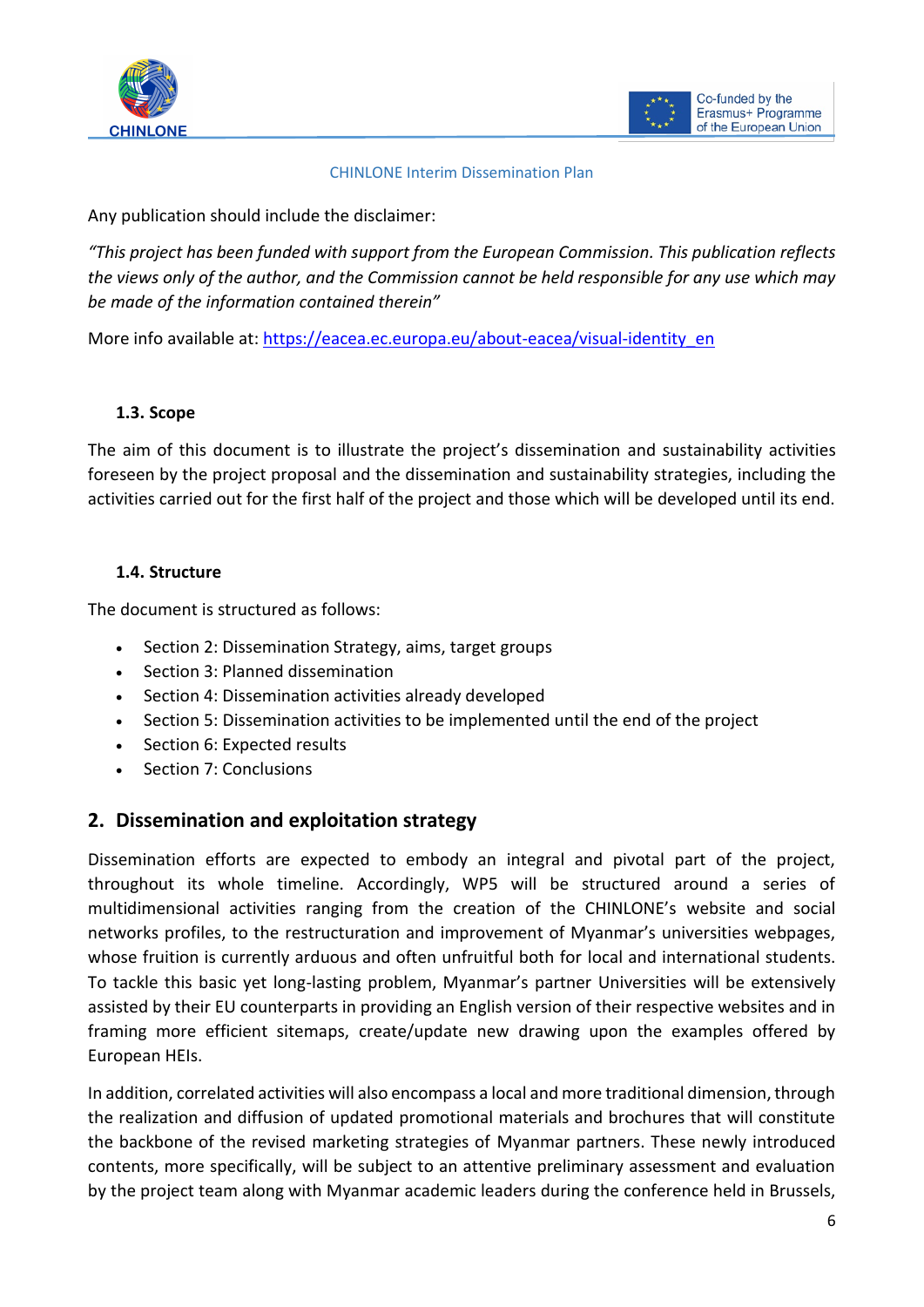



#### CHINLONE Interim Dissemination Plan

Any publication should include the disclaimer:

*"This project has been funded with support from the European Commission. This publication reflects the views only of the author, and the Commission cannot be held responsible for any use which may be made of the information contained therein"*

More info available at: [https://eacea.ec.europa.eu/about-eacea/visual-identity\\_en](https://eacea.ec.europa.eu/about-eacea/visual-identity_en)

## <span id="page-4-0"></span>**1.3. Scope**

The aim of this document is to illustrate the project's dissemination and sustainability activities foreseen by the project proposal and the dissemination and sustainability strategies, including the activities carried out for the first half of the project and those which will be developed until its end.

#### <span id="page-4-1"></span>**1.4. Structure**

The document is structured as follows:

- Section 2: Dissemination Strategy, aims, target groups
- Section 3: Planned dissemination
- Section 4: Dissemination activities already developed
- Section 5: Dissemination activities to be implemented until the end of the project
- Section 6: Expected results
- Section 7: Conclusions

## <span id="page-4-2"></span>**2. Dissemination and exploitation strategy**

Dissemination efforts are expected to embody an integral and pivotal part of the project, throughout its whole timeline. Accordingly, WP5 will be structured around a series of multidimensional activities ranging from the creation of the CHINLONE's website and social networks profiles, to the restructuration and improvement of Myanmar's universities webpages, whose fruition is currently arduous and often unfruitful both for local and international students. To tackle this basic yet long-lasting problem, Myanmar's partner Universities will be extensively assisted by their EU counterparts in providing an English version of their respective websites and in framing more efficient sitemaps, create/update new drawing upon the examples offered by European HEIs.

In addition, correlated activities will also encompass a local and more traditional dimension, through the realization and diffusion of updated promotional materials and brochures that will constitute the backbone of the revised marketing strategies of Myanmar partners. These newly introduced contents, more specifically, will be subject to an attentive preliminary assessment and evaluation by the project team along with Myanmar academic leaders during the conference held in Brussels,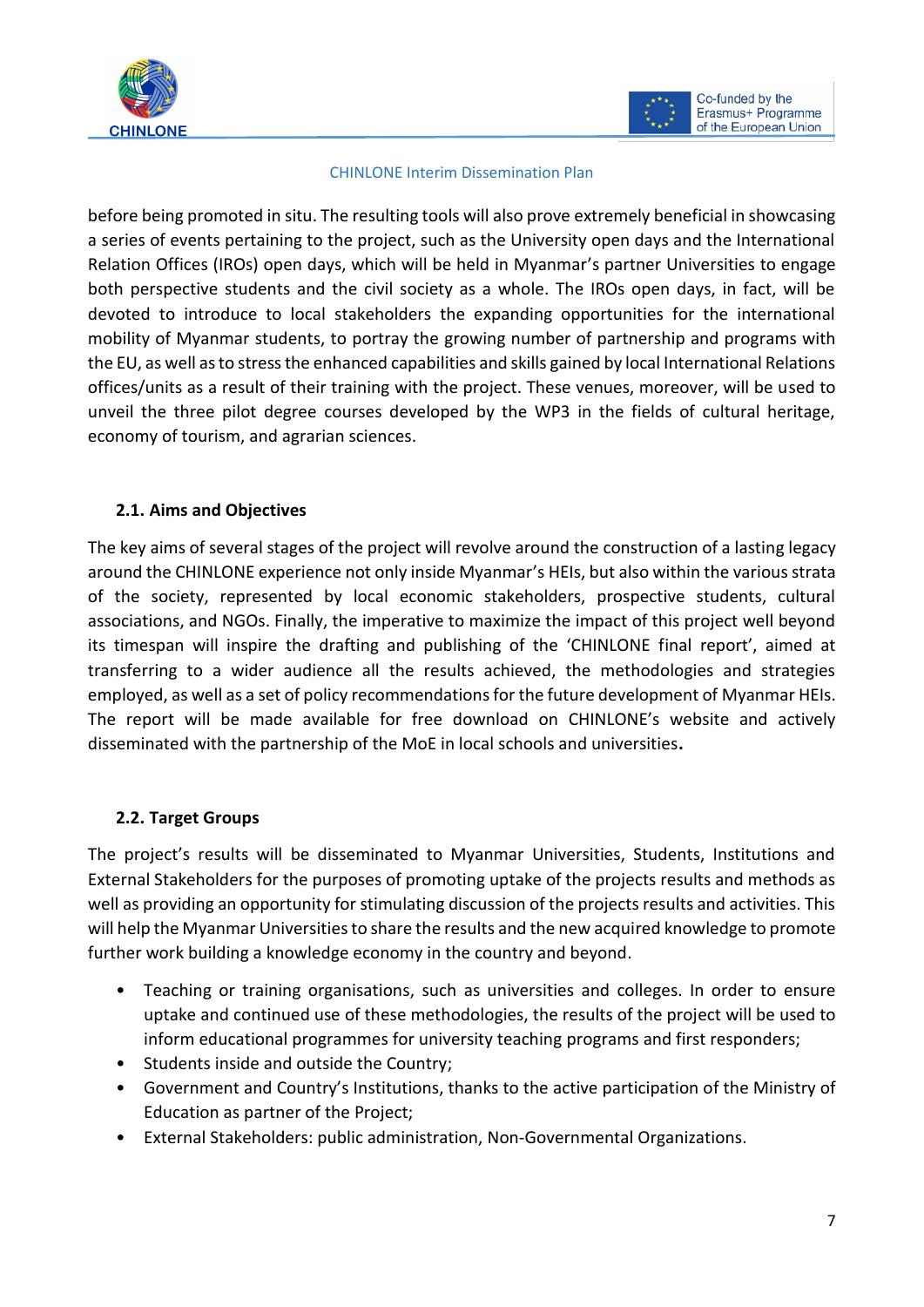



#### CHINLONE Interim Dissemination Plan

before being promoted in situ. The resulting tools will also prove extremely beneficial in showcasing a series of events pertaining to the project, such as the University open days and the International Relation Offices (IROs) open days, which will be held in Myanmar's partner Universities to engage both perspective students and the civil society as a whole. The IROs open days, in fact, will be devoted to introduce to local stakeholders the expanding opportunities for the international mobility of Myanmar students, to portray the growing number of partnership and programs with the EU, as well as to stress the enhanced capabilities and skills gained by local International Relations offices/units as a result of their training with the project. These venues, moreover, will be used to unveil the three pilot degree courses developed by the WP3 in the fields of cultural heritage, economy of tourism, and agrarian sciences.

## <span id="page-5-0"></span>**2.1. Aims and Objectives**

The key aims of several stages of the project will revolve around the construction of a lasting legacy around the CHINLONE experience not only inside Myanmar's HEIs, but also within the various strata of the society, represented by local economic stakeholders, prospective students, cultural associations, and NGOs. Finally, the imperative to maximize the impact of this project well beyond its timespan will inspire the drafting and publishing of the 'CHINLONE final report', aimed at transferring to a wider audience all the results achieved, the methodologies and strategies employed, as well as a set of policy recommendations for the future development of Myanmar HEIs. The report will be made available for free download on CHINLONE's website and actively disseminated with the partnership of the MoE in local schools and universities**.** 

## <span id="page-5-1"></span>**2.2. Target Groups**

The project's results will be disseminated to Myanmar Universities, Students, Institutions and External Stakeholders for the purposes of promoting uptake of the projects results and methods as well as providing an opportunity for stimulating discussion of the projects results and activities. This will help the Myanmar Universities to share the results and the new acquired knowledge to promote further work building a knowledge economy in the country and beyond.

- Teaching or training organisations, such as universities and colleges. In order to ensure uptake and continued use of these methodologies, the results of the project will be used to inform educational programmes for university teaching programs and first responders;
- Students inside and outside the Country;
- Government and Country's Institutions, thanks to the active participation of the Ministry of Education as partner of the Project;
- External Stakeholders: public administration, Non-Governmental Organizations.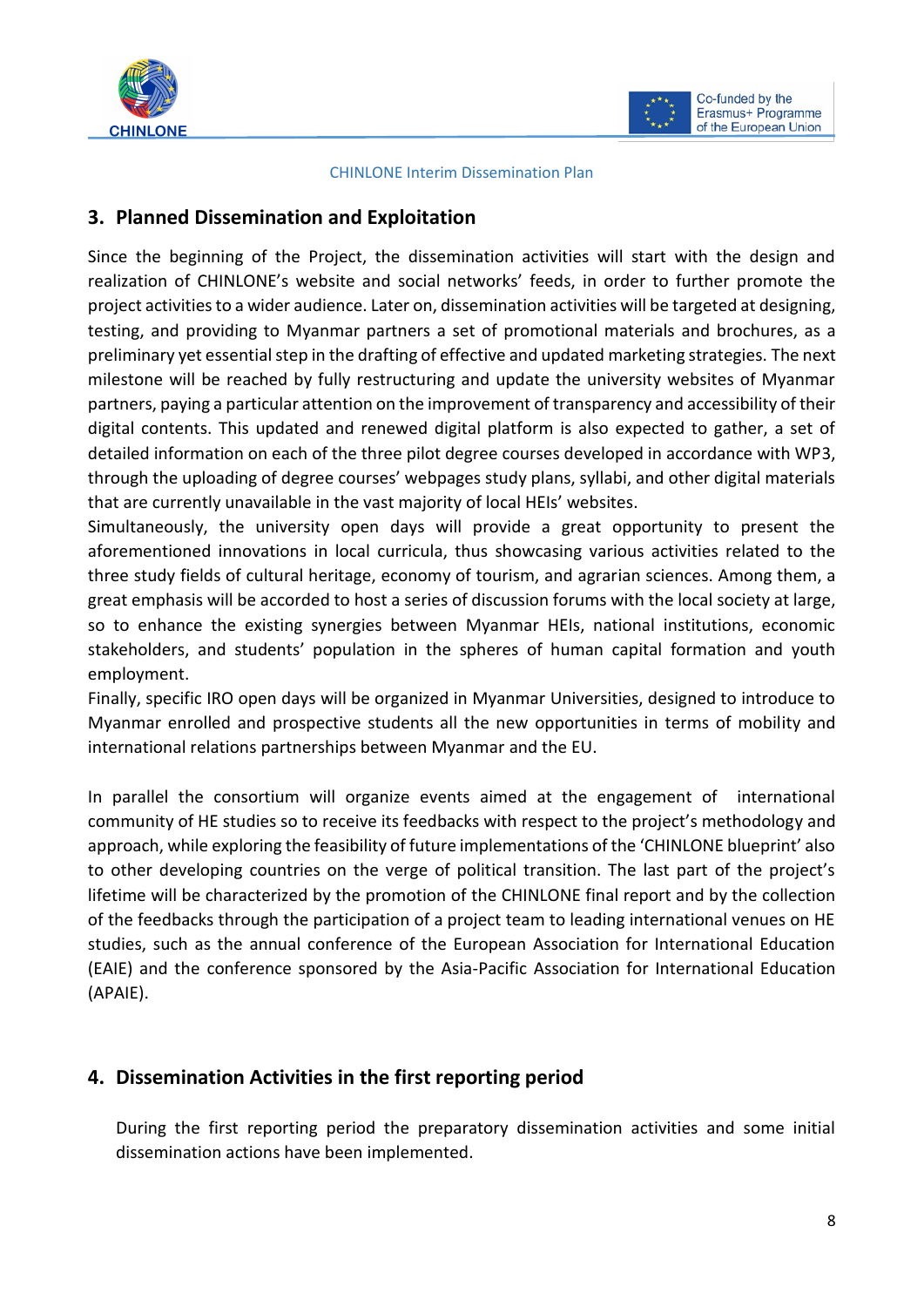



#### CHINLONE Interim Dissemination Plan

## <span id="page-6-0"></span>**3. Planned Dissemination and Exploitation**

Since the beginning of the Project, the dissemination activities will start with the design and realization of CHINLONE's website and social networks' feeds, in order to further promote the project activities to a wider audience. Later on, dissemination activities will be targeted at designing, testing, and providing to Myanmar partners a set of promotional materials and brochures, as a preliminary yet essential step in the drafting of effective and updated marketing strategies. The next milestone will be reached by fully restructuring and update the university websites of Myanmar partners, paying a particular attention on the improvement of transparency and accessibility of their digital contents. This updated and renewed digital platform is also expected to gather, a set of detailed information on each of the three pilot degree courses developed in accordance with WP3, through the uploading of degree courses' webpages study plans, syllabi, and other digital materials that are currently unavailable in the vast majority of local HEIs' websites.

Simultaneously, the university open days will provide a great opportunity to present the aforementioned innovations in local curricula, thus showcasing various activities related to the three study fields of cultural heritage, economy of tourism, and agrarian sciences. Among them, a great emphasis will be accorded to host a series of discussion forums with the local society at large, so to enhance the existing synergies between Myanmar HEIs, national institutions, economic stakeholders, and students' population in the spheres of human capital formation and youth employment.

Finally, specific IRO open days will be organized in Myanmar Universities, designed to introduce to Myanmar enrolled and prospective students all the new opportunities in terms of mobility and international relations partnerships between Myanmar and the EU.

In parallel the consortium will organize events aimed at the engagement of international community of HE studies so to receive its feedbacks with respect to the project's methodology and approach, while exploring the feasibility of future implementations of the 'CHINLONE blueprint' also to other developing countries on the verge of political transition. The last part of the project's lifetime will be characterized by the promotion of the CHINLONE final report and by the collection of the feedbacks through the participation of a project team to leading international venues on HE studies, such as the annual conference of the European Association for International Education (EAIE) and the conference sponsored by the Asia-Pacific Association for International Education (APAIE).

## <span id="page-6-1"></span>**4. Dissemination Activities in the first reporting period**

During the first reporting period the preparatory dissemination activities and some initial dissemination actions have been implemented.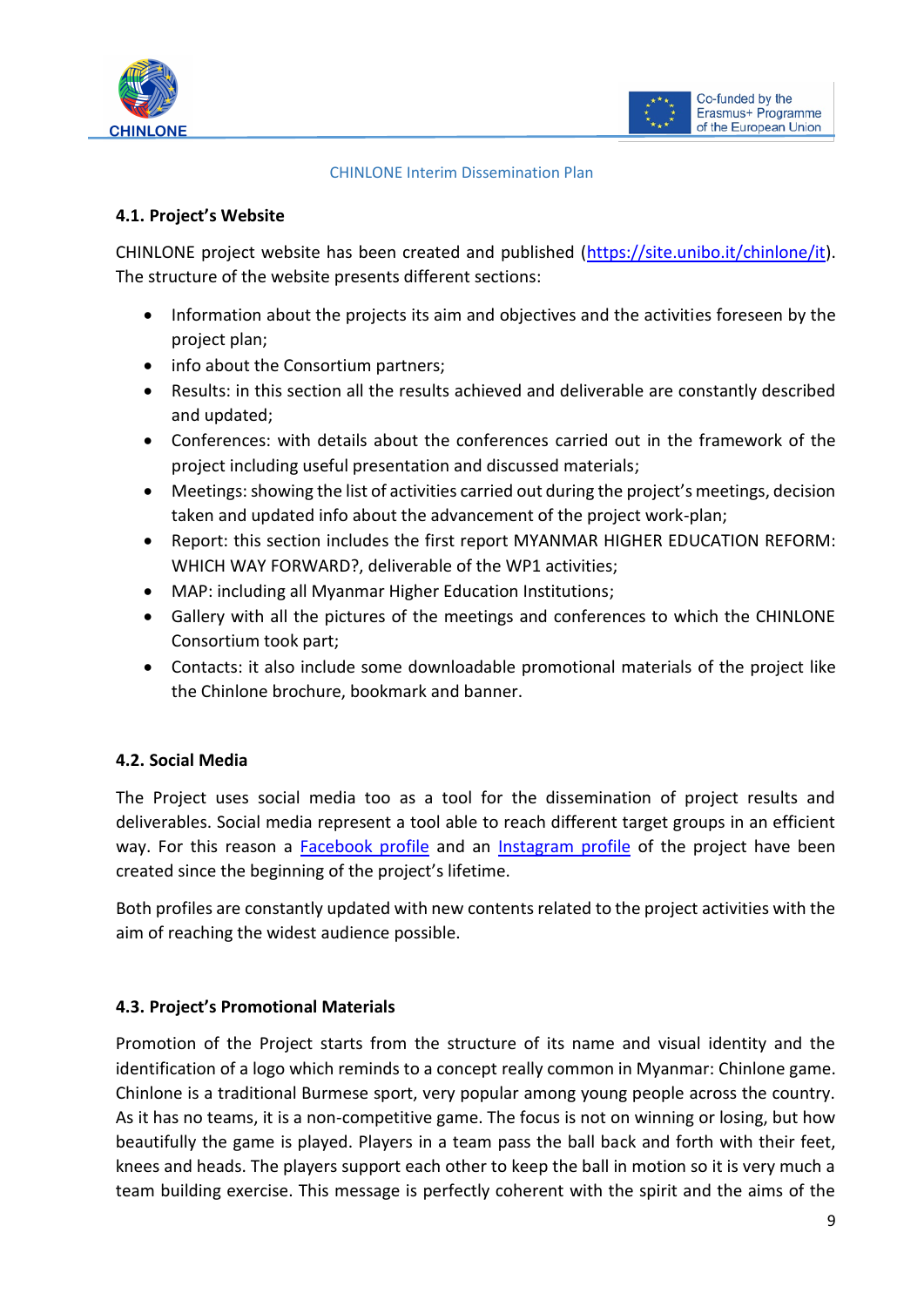



#### CHINLONE Interim Dissemination Plan

## <span id="page-7-0"></span>**4.1. Project's Website**

CHINLONE project website has been created and published [\(https://site.unibo.it/chinlone/it\)](https://site.unibo.it/chinlone/it). The structure of the website presents different sections:

- Information about the projects its aim and objectives and the activities foreseen by the project plan;
- info about the Consortium partners;
- Results: in this section all the results achieved and deliverable are constantly described and updated;
- Conferences: with details about the conferences carried out in the framework of the project including useful presentation and discussed materials;
- Meetings: showing the list of activities carried out during the project's meetings, decision taken and updated info about the advancement of the project work-plan;
- Report: this section includes the first report MYANMAR HIGHER EDUCATION REFORM: WHICH WAY FORWARD?, deliverable of the WP1 activities;
- MAP: including all Myanmar Higher Education Institutions;
- Gallery with all the pictures of the meetings and conferences to which the CHINLONE Consortium took part;
- Contacts: it also include some downloadable promotional materials of the project like the Chinlone brochure, bookmark and banner.

## <span id="page-7-1"></span>**4.2. Social Media**

The Project uses social media too as a tool for the dissemination of project results and deliverables. Social media represent a tool able to reach different target groups in an efficient way. For this reason a [Facebook profile](https://www.facebook.com/ProjectChinlone/) and an [Instagram profile](https://www.instagram.com/chinloneproject/) of the project have been created since the beginning of the project's lifetime.

Both profiles are constantly updated with new contents related to the project activities with the aim of reaching the widest audience possible.

## <span id="page-7-2"></span>**4.3. Project's Promotional Materials**

Promotion of the Project starts from the structure of its name and visual identity and the identification of a logo which reminds to a concept really common in Myanmar: Chinlone game. Chinlone is a traditional Burmese sport, very popular among young people across the country. As it has no teams, it is a non-competitive game. The focus is not on winning or losing, but how beautifully the game is played. Players in a team pass the ball back and forth with their feet, knees and heads. The players support each other to keep the ball in motion so it is very much a team building exercise. This message is perfectly coherent with the spirit and the aims of the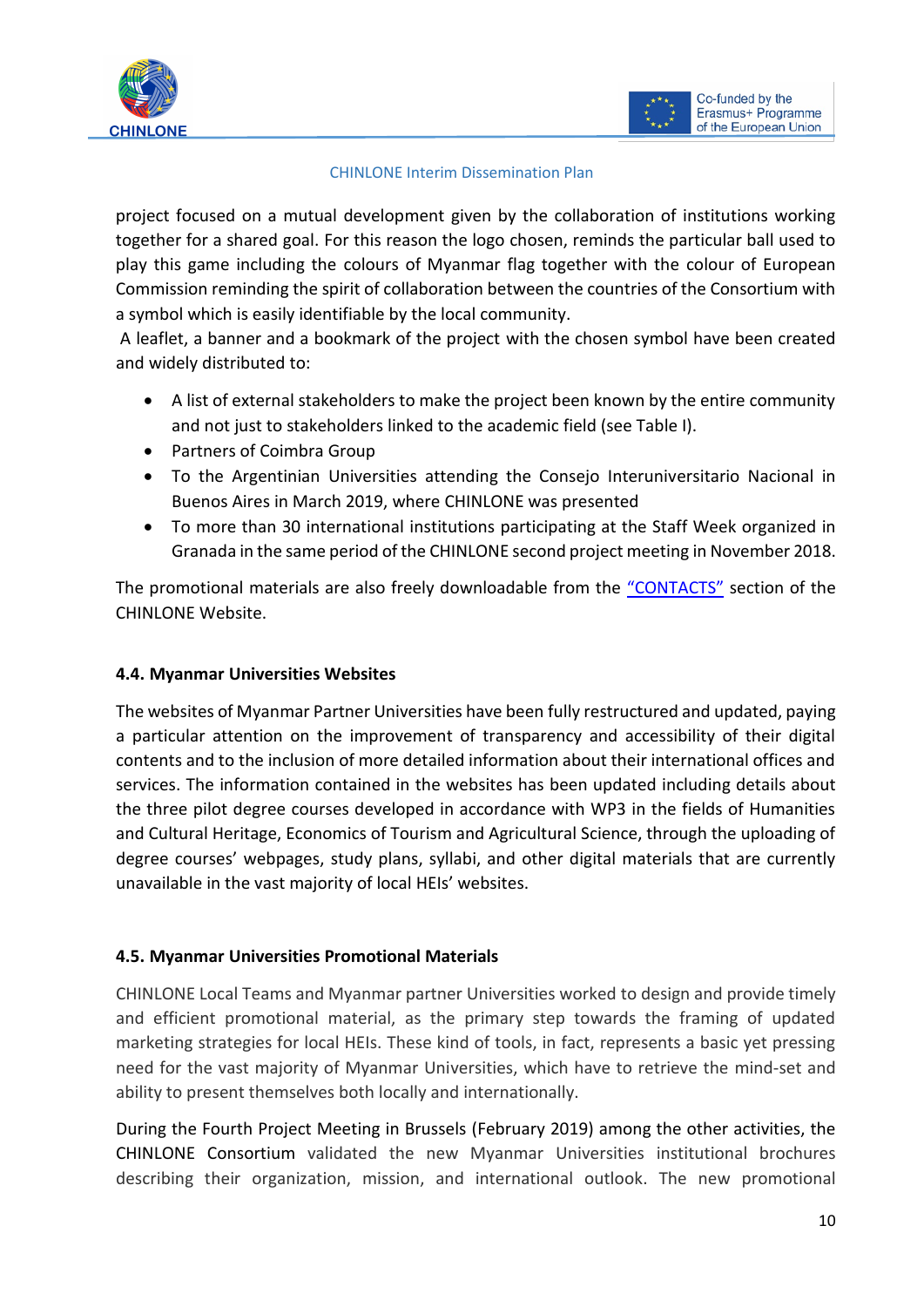



#### CHINLONE Interim Dissemination Plan

project focused on a mutual development given by the collaboration of institutions working together for a shared goal. For this reason the logo chosen, reminds the particular ball used to play this game including the colours of Myanmar flag together with the colour of European Commission reminding the spirit of collaboration between the countries of the Consortium with a symbol which is easily identifiable by the local community.

A leaflet, a banner and a bookmark of the project with the chosen symbol have been created and widely distributed to:

- A list of external stakeholders to make the project been known by the entire community and not just to stakeholders linked to the academic field (see Table I).
- Partners of Coimbra Group
- To the Argentinian Universities attending the Consejo Interuniversitario Nacional in Buenos Aires in March 2019, where CHINLONE was presented
- To more than 30 international institutions participating at the Staff Week organized in Granada in the same period of the CHINLONE second project meeting in November 2018.

The promotional materials are also freely downloadable from the ["CONTACTS"](https://site.unibo.it/chinlone/it/contacts) section of the CHINLONE Website.

## <span id="page-8-0"></span>**4.4. Myanmar Universities Websites**

The websites of Myanmar Partner Universities have been fully restructured and updated, paying a particular attention on the improvement of transparency and accessibility of their digital contents and to the inclusion of more detailed information about their international offices and services. The information contained in the websites has been updated including details about the three pilot degree courses developed in accordance with WP3 in the fields of Humanities and Cultural Heritage, Economics of Tourism and Agricultural Science, through the uploading of degree courses' webpages, study plans, syllabi, and other digital materials that are currently unavailable in the vast majority of local HEIs' websites.

## <span id="page-8-1"></span>**4.5. Myanmar Universities Promotional Materials**

CHINLONE Local Teams and Myanmar partner Universities worked to design and provide timely and efficient promotional material, as the primary step towards the framing of updated marketing strategies for local HEIs. These kind of tools, in fact, represents a basic yet pressing need for the vast majority of Myanmar Universities, which have to retrieve the mind-set and ability to present themselves both locally and internationally.

During the Fourth Project Meeting in Brussels (February 2019) among the other activities, the CHINLONE Consortium validated the new Myanmar Universities institutional brochures describing their organization, mission, and international outlook. The new promotional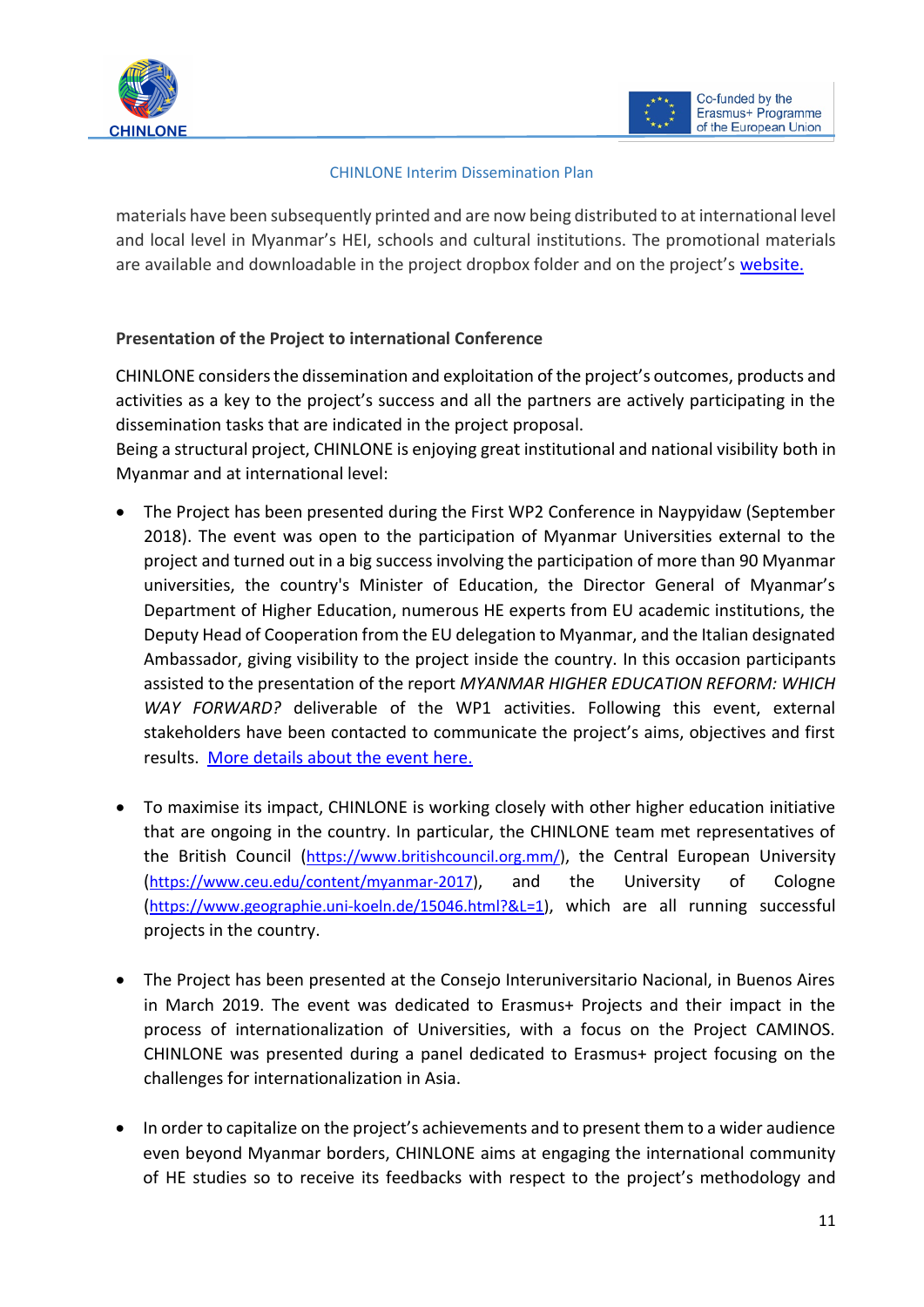

#### CHINLONE Interim Dissemination Plan

materials have been subsequently printed and are now being distributed to at international level and local level in Myanmar's HEI, schools and cultural institutions. The promotional materials are available and downloadable in the project dropbox folder and on the project's [website.](https://site.unibo.it/chinlone/it/events) 

## **Presentation of the Project to international Conference**

CHINLONE considers the dissemination and exploitation of the project's outcomes, products and activities as a key to the project's success and all the partners are actively participating in the dissemination tasks that are indicated in the project proposal.

Being a structural project, CHINLONE is enjoying great institutional and national visibility both in Myanmar and at international level:

- The Project has been presented during the First WP2 Conference in Naypyidaw (September 2018). The event was open to the participation of Myanmar Universities external to the project and turned out in a big success involving the participation of more than 90 Myanmar universities, the country's Minister of Education, the Director General of Myanmar's Department of Higher Education, numerous HE experts from EU academic institutions, the Deputy Head of Cooperation from the EU delegation to Myanmar, and the Italian designated Ambassador, giving visibility to the project inside the country. In this occasion participants assisted to the presentation of the report *MYANMAR HIGHER EDUCATION REFORM: WHICH WAY FORWARD?* deliverable of the WP1 activities. Following this event, external stakeholders have been contacted to communicate the project's aims, objectives and first results. [More details about the event](https://site.unibo.it/chinlone/it/conferences) here.
- To maximise its impact, CHINLONE is working closely with other higher education initiative that are ongoing in the country. In particular, the CHINLONE team met representatives of the British Council ([https://www.britishcouncil.org.mm/\)](https://www.britishcouncil.org.mm/), the Central European University ([https://www.ceu.edu/content/myanmar-2017\)](https://www.ceu.edu/content/myanmar-2017), and the University of Cologne ([https://www.geographie.uni-koeln.de/15046.html?&L=1\)](https://www.geographie.uni-koeln.de/15046.html?&L=1), which are all running successful projects in the country.
- The Project has been presented at the Consejo Interuniversitario Nacional, in Buenos Aires in March 2019. The event was dedicated to Erasmus+ Projects and their impact in the process of internationalization of Universities, with a focus on the Project CAMINOS. CHINLONE was presented during a panel dedicated to Erasmus+ project focusing on the challenges for internationalization in Asia.
- In order to capitalize on the project's achievements and to present them to a wider audience even beyond Myanmar borders, CHINLONE aims at engaging the international community of HE studies so to receive its feedbacks with respect to the project's methodology and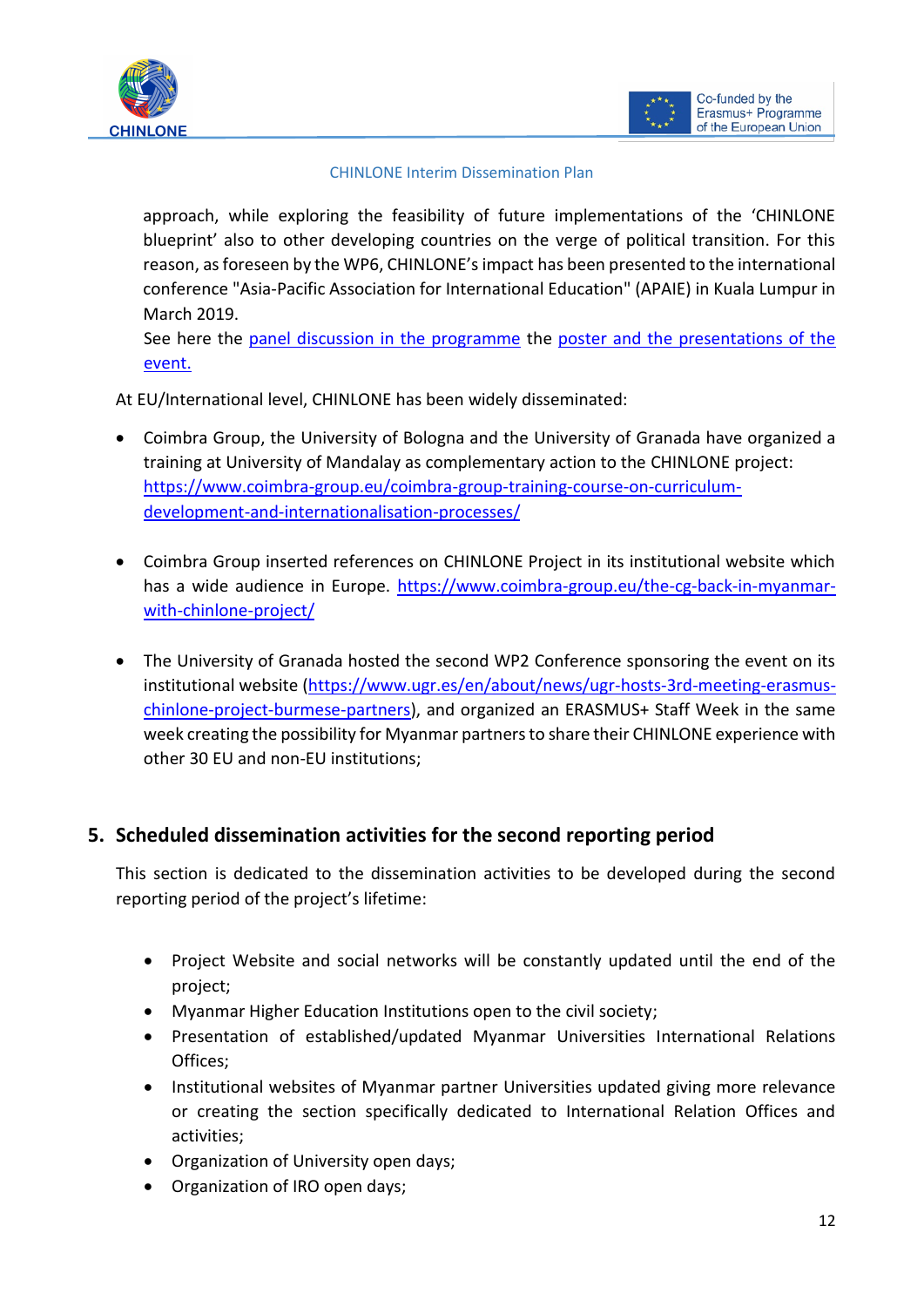



#### CHINLONE Interim Dissemination Plan

approach, while exploring the feasibility of future implementations of the 'CHINLONE blueprint' also to other developing countries on the verge of political transition. For this reason, as foreseen by the WP6, CHINLONE's impact has been presented to the international conference "Asia-Pacific Association for International Education" (APAIE) in Kuala Lumpur in March 2019.

See here the [panel discussion in the programme](https://www.apaie2019.org/event/session/view/860) the [poster and the presentations of the](https://site.unibo.it/chinlone/it/results/wp-6-chinlone-s-exploitation-and-sustainability-activities)  [event.](https://site.unibo.it/chinlone/it/results/wp-6-chinlone-s-exploitation-and-sustainability-activities)

At EU/International level, CHINLONE has been widely disseminated:

- Coimbra Group, the University of Bologna and the University of Granada have organized a training at University of Mandalay as complementary action to the CHINLONE project: [https://www.coimbra-group.eu/coimbra-group-training-course-on-curriculum](https://www.coimbra-group.eu/coimbra-group-training-course-on-curriculum-development-and-internationalisation-processes/)[development-and-internationalisation-processes/](https://www.coimbra-group.eu/coimbra-group-training-course-on-curriculum-development-and-internationalisation-processes/)
- Coimbra Group inserted references on CHINLONE Project in its institutional website which has a wide audience in Europe. [https://www.coimbra-group.eu/the-cg-back-in-myanmar](https://www.coimbra-group.eu/the-cg-back-in-myanmar-with-chinlone-project/)[with-chinlone-project/](https://www.coimbra-group.eu/the-cg-back-in-myanmar-with-chinlone-project/)
- The University of Granada hosted the second WP2 Conference sponsoring the event on its institutional website [\(https://www.ugr.es/en/about/news/ugr-hosts-3rd-meeting-erasmus](https://www.ugr.es/en/about/news/ugr-hosts-3rd-meeting-erasmus-chinlone-project-burmese-partners)[chinlone-project-burmese-partners\)](https://www.ugr.es/en/about/news/ugr-hosts-3rd-meeting-erasmus-chinlone-project-burmese-partners), and organized an ERASMUS+ Staff Week in the same week creating the possibility for Myanmar partners to share their CHINLONE experience with other 30 EU and non-EU institutions;

## <span id="page-10-0"></span>**5. Scheduled dissemination activities for the second reporting period**

This section is dedicated to the dissemination activities to be developed during the second reporting period of the project's lifetime:

- Project Website and social networks will be constantly updated until the end of the project;
- Myanmar Higher Education Institutions open to the civil society;
- Presentation of established/updated Myanmar Universities International Relations Offices;
- Institutional websites of Myanmar partner Universities updated giving more relevance or creating the section specifically dedicated to International Relation Offices and activities;
- Organization of University open days;
- Organization of IRO open days;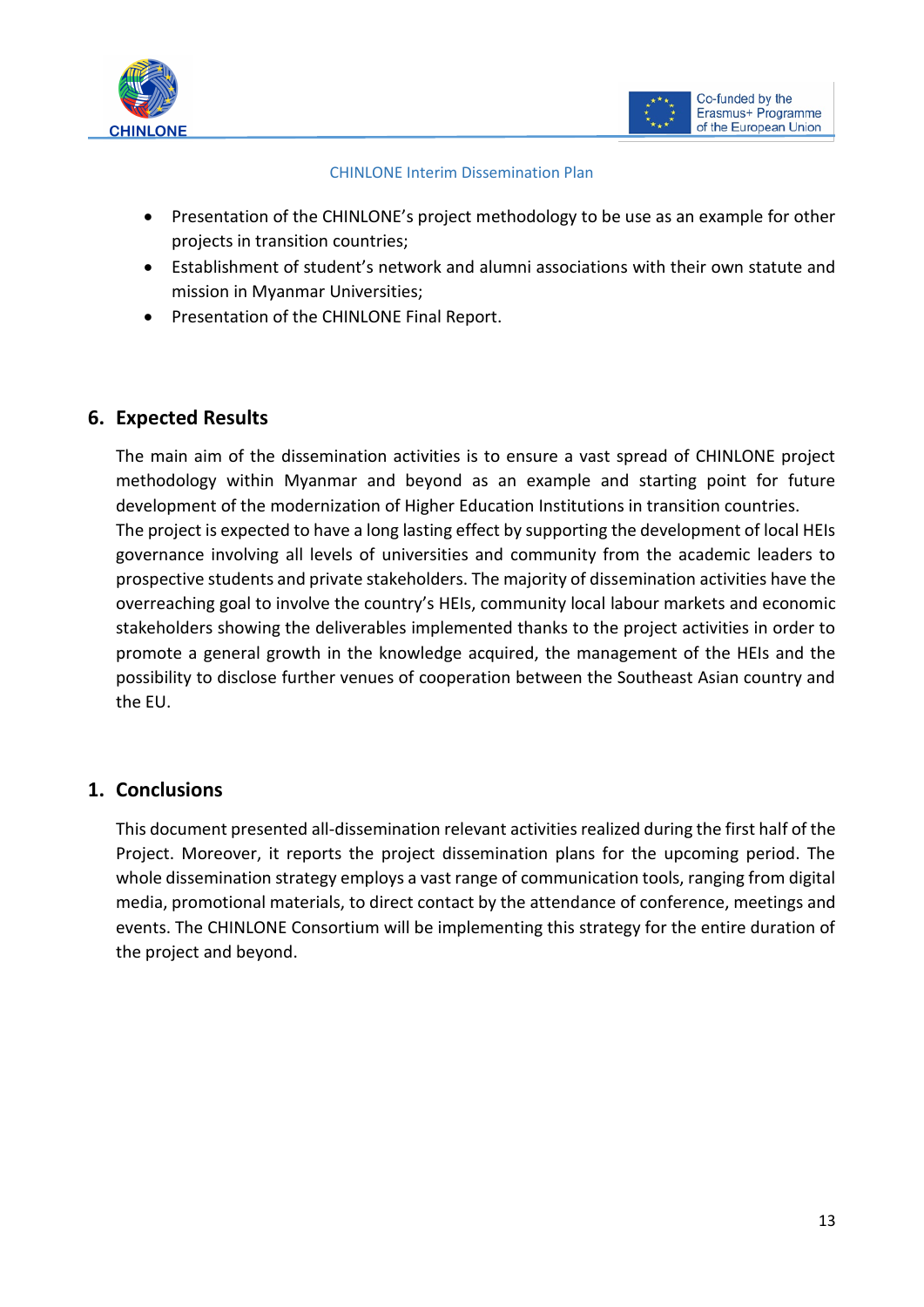



#### CHINLONE Interim Dissemination Plan

- Presentation of the CHINLONE's project methodology to be use as an example for other projects in transition countries;
- Establishment of student's network and alumni associations with their own statute and mission in Myanmar Universities;
- Presentation of the CHINLONE Final Report.

## <span id="page-11-0"></span>**6. Expected Results**

The main aim of the dissemination activities is to ensure a vast spread of CHINLONE project methodology within Myanmar and beyond as an example and starting point for future development of the modernization of Higher Education Institutions in transition countries. The project is expected to have a long lasting effect by supporting the development of local HEIs governance involving all levels of universities and community from the academic leaders to prospective students and private stakeholders. The majority of dissemination activities have the overreaching goal to involve the country's HEIs, community local labour markets and economic stakeholders showing the deliverables implemented thanks to the project activities in order to promote a general growth in the knowledge acquired, the management of the HEIs and the possibility to disclose further venues of cooperation between the Southeast Asian country and the EU.

## <span id="page-11-1"></span>**1. Conclusions**

This document presented all-dissemination relevant activities realized during the first half of the Project. Moreover, it reports the project dissemination plans for the upcoming period. The whole dissemination strategy employs a vast range of communication tools, ranging from digital media, promotional materials, to direct contact by the attendance of conference, meetings and events. The CHINLONE Consortium will be implementing this strategy for the entire duration of the project and beyond.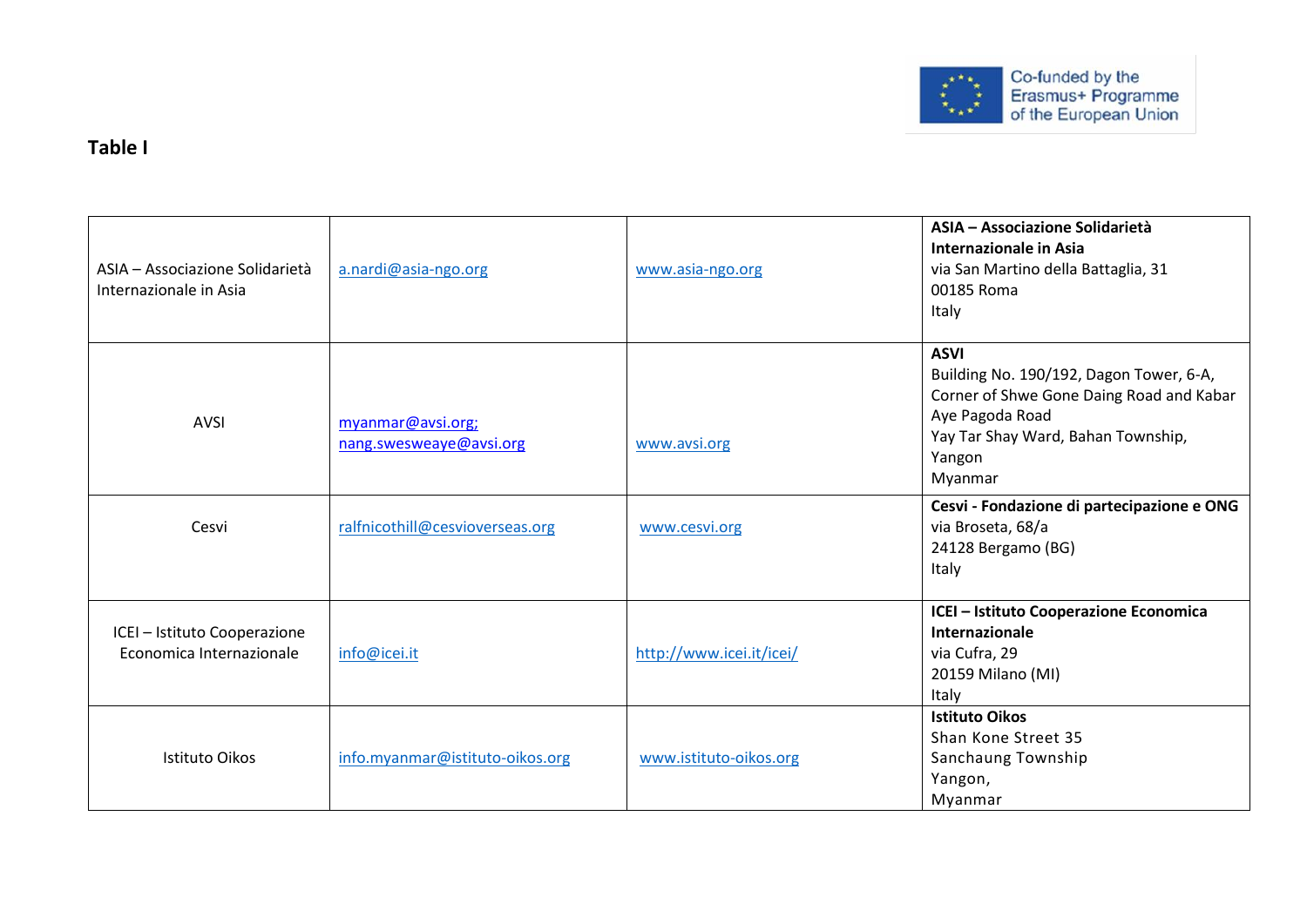

## **Table I**

| ASIA – Associazione Solidarietà<br>Internazionale in Asia | a.nardi@asia-ngo.org                         | www.asia-ngo.org         | ASIA - Associazione Solidarietà<br>Internazionale in Asia<br>via San Martino della Battaglia, 31<br>00185 Roma<br>Italy                                                          |
|-----------------------------------------------------------|----------------------------------------------|--------------------------|----------------------------------------------------------------------------------------------------------------------------------------------------------------------------------|
| <b>AVSI</b>                                               | myanmar@avsi.org;<br>nang.swesweaye@avsi.org | www.avsi.org             | <b>ASVI</b><br>Building No. 190/192, Dagon Tower, 6-A,<br>Corner of Shwe Gone Daing Road and Kabar<br>Aye Pagoda Road<br>Yay Tar Shay Ward, Bahan Township,<br>Yangon<br>Myanmar |
| Cesvi                                                     | ralfnicothill@cesvioverseas.org              | www.cesvi.org            | Cesvi - Fondazione di partecipazione e ONG<br>via Broseta, 68/a<br>24128 Bergamo (BG)<br>Italy                                                                                   |
| ICEI - Istituto Cooperazione<br>Economica Internazionale  | info@icei.it                                 | http://www.icei.it/icei/ | ICEI - Istituto Cooperazione Economica<br>Internazionale<br>via Cufra, 29<br>20159 Milano (MI)<br>Italy                                                                          |
| Istituto Oikos                                            | info.myanmar@istituto-oikos.org              | www.istituto-oikos.org   | <b>Istituto Oikos</b><br>Shan Kone Street 35<br>Sanchaung Township<br>Yangon,<br>Myanmar                                                                                         |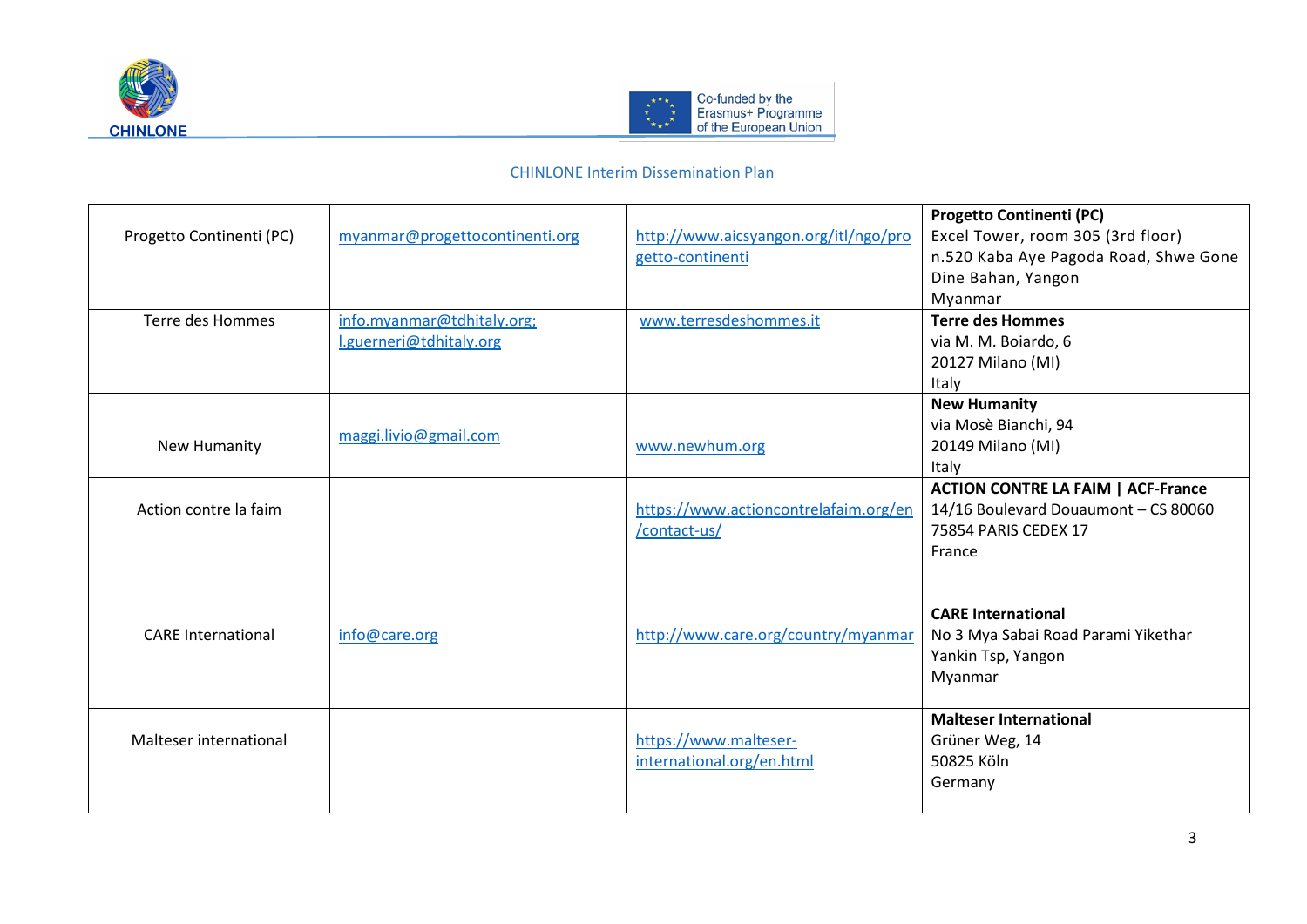



| Progetto Continenti (PC)  | myanmar@progettocontinenti.org                        | http://www.aicsyangon.org/itl/ngo/pro<br>getto-continenti | <b>Progetto Continenti (PC)</b><br>Excel Tower, room 305 (3rd floor)<br>n.520 Kaba Aye Pagoda Road, Shwe Gone<br>Dine Bahan, Yangon<br>Myanmar |
|---------------------------|-------------------------------------------------------|-----------------------------------------------------------|------------------------------------------------------------------------------------------------------------------------------------------------|
| Terre des Hommes          | info.myanmar@tdhitaly.org;<br>l.guerneri@tdhitaly.org | www.terresdeshommes.it                                    | <b>Terre des Hommes</b><br>via M. M. Boiardo, 6<br>20127 Milano (MI)<br>Italy                                                                  |
| New Humanity              | maggi.livio@gmail.com                                 | www.newhum.org                                            | <b>New Humanity</b><br>via Mosè Bianchi, 94<br>20149 Milano (MI)<br>Italy                                                                      |
| Action contre la faim     |                                                       | https://www.actioncontrelafaim.org/en<br>/contact-us/     | <b>ACTION CONTRE LA FAIM   ACF-France</b><br>14/16 Boulevard Douaumont - CS 80060<br>75854 PARIS CEDEX 17<br>France                            |
| <b>CARE</b> International | info@care.org                                         | http://www.care.org/country/myanmar                       | <b>CARE International</b><br>No 3 Mya Sabai Road Parami Yikethar<br>Yankin Tsp, Yangon<br>Myanmar                                              |
| Malteser international    |                                                       | https://www.malteser-<br>international.org/en.html        | <b>Malteser International</b><br>Grüner Weg, 14<br>50825 Köln<br>Germany                                                                       |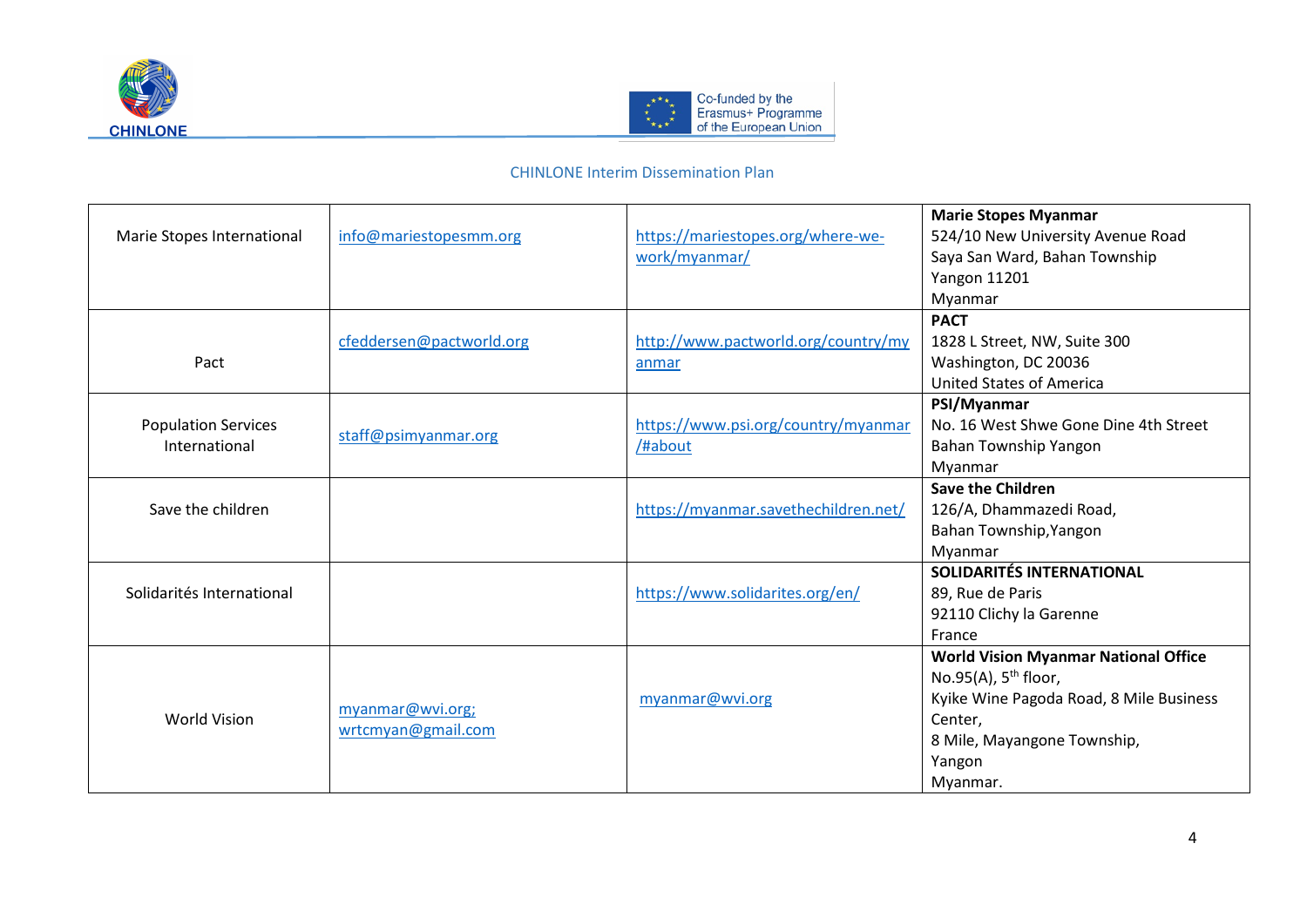



| Marie Stopes International                  | info@mariestopesmm.org                 | https://mariestopes.org/where-we-<br>work/myanmar/ | <b>Marie Stopes Myanmar</b><br>524/10 New University Avenue Road<br>Saya San Ward, Bahan Township<br><b>Yangon 11201</b><br>Myanmar                                                 |
|---------------------------------------------|----------------------------------------|----------------------------------------------------|-------------------------------------------------------------------------------------------------------------------------------------------------------------------------------------|
| Pact                                        | cfeddersen@pactworld.org               | http://www.pactworld.org/country/my<br>anmar       | <b>PACT</b><br>1828 L Street, NW, Suite 300<br>Washington, DC 20036<br><b>United States of America</b>                                                                              |
| <b>Population Services</b><br>International | staff@psimyanmar.org                   | https://www.psi.org/country/myanmar<br>/#about     | PSI/Myanmar<br>No. 16 West Shwe Gone Dine 4th Street<br>Bahan Township Yangon<br>Myanmar                                                                                            |
| Save the children                           |                                        | https://myanmar.savethechildren.net/               | <b>Save the Children</b><br>126/A, Dhammazedi Road,<br>Bahan Township, Yangon<br>Myanmar                                                                                            |
| Solidarités International                   |                                        | https://www.solidarites.org/en/                    | <b>SOLIDARITÉS INTERNATIONAL</b><br>89, Rue de Paris<br>92110 Clichy la Garenne<br>France                                                                                           |
| <b>World Vision</b>                         | myanmar@wvi.org;<br>wrtcmyan@gmail.com | myanmar@wvi.org                                    | <b>World Vision Myanmar National Office</b><br>No.95(A), $5^{th}$ floor,<br>Kyike Wine Pagoda Road, 8 Mile Business<br>Center,<br>8 Mile, Mayangone Township,<br>Yangon<br>Myanmar. |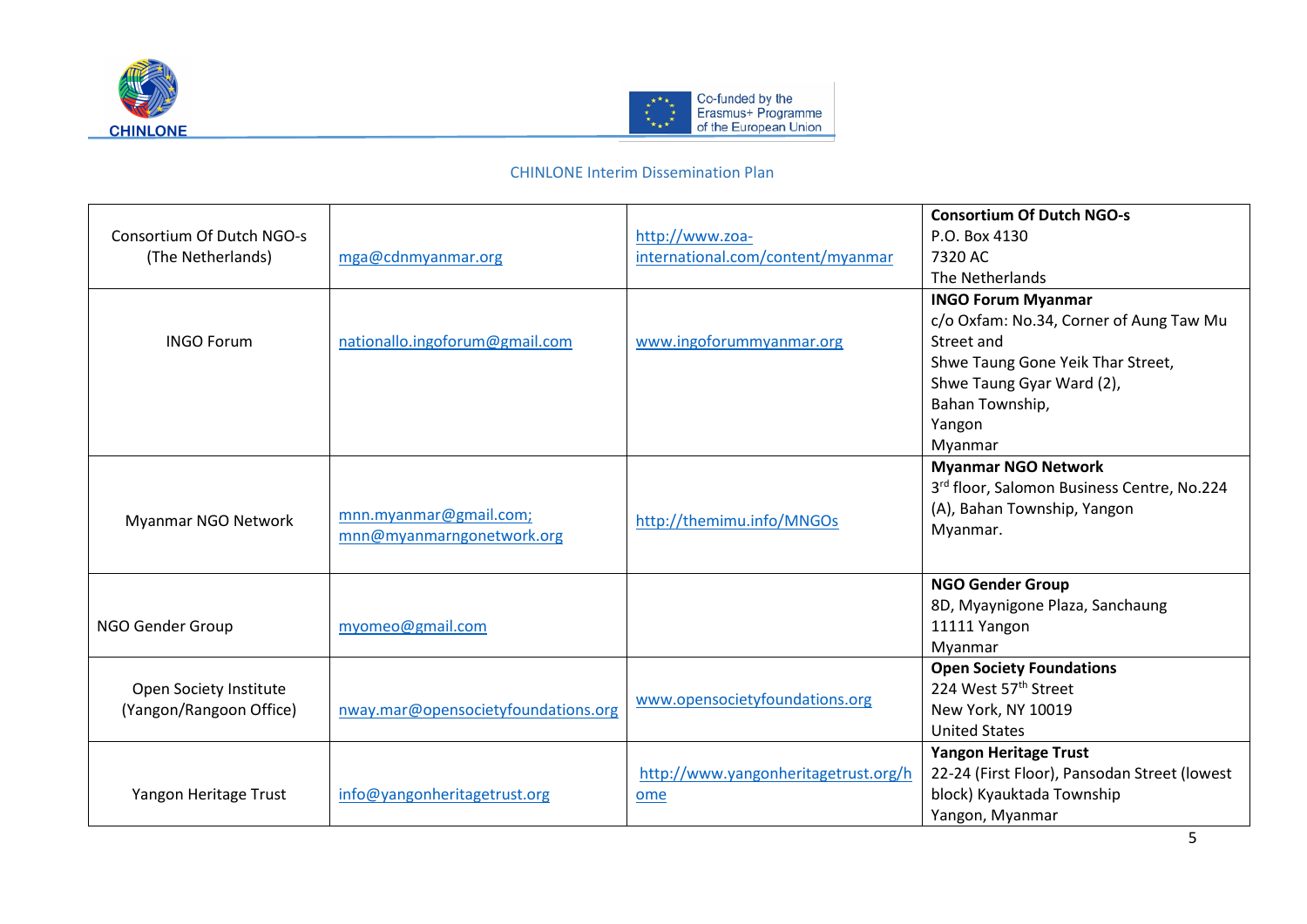



|                           |                                     |                                      | <b>Consortium Of Dutch NGO-s</b>             |
|---------------------------|-------------------------------------|--------------------------------------|----------------------------------------------|
| Consortium Of Dutch NGO-s |                                     | http://www.zoa-                      | P.O. Box 4130                                |
| (The Netherlands)         | mga@cdnmyanmar.org                  | international.com/content/myanmar    | 7320 AC                                      |
|                           |                                     |                                      | The Netherlands                              |
|                           |                                     |                                      | <b>INGO Forum Myanmar</b>                    |
|                           |                                     |                                      | c/o Oxfam: No.34, Corner of Aung Taw Mu      |
| <b>INGO Forum</b>         | nationallo.ingoforum@gmail.com      | www.ingoforummyanmar.org             | Street and                                   |
|                           |                                     |                                      | Shwe Taung Gone Yeik Thar Street,            |
|                           |                                     |                                      | Shwe Taung Gyar Ward (2),                    |
|                           |                                     |                                      | Bahan Township,                              |
|                           |                                     |                                      | Yangon                                       |
|                           |                                     |                                      | Myanmar                                      |
|                           |                                     |                                      | <b>Myanmar NGO Network</b>                   |
|                           |                                     |                                      | 3rd floor, Salomon Business Centre, No.224   |
|                           | mnn.myanmar@gmail.com;              |                                      | (A), Bahan Township, Yangon                  |
| Myanmar NGO Network       | mnn@myanmarngonetwork.org           | http://themimu.info/MNGOs            | Myanmar.                                     |
|                           |                                     |                                      |                                              |
|                           |                                     |                                      | <b>NGO Gender Group</b>                      |
|                           |                                     |                                      | 8D, Myaynigone Plaza, Sanchaung              |
| NGO Gender Group          | myomeo@gmail.com                    |                                      | 11111 Yangon                                 |
|                           |                                     |                                      | Myanmar                                      |
|                           |                                     |                                      | <b>Open Society Foundations</b>              |
| Open Society Institute    |                                     |                                      | 224 West 57 <sup>th</sup> Street             |
| (Yangon/Rangoon Office)   | nway.mar@opensocietyfoundations.org | www.opensocietyfoundations.org       | New York, NY 10019                           |
|                           |                                     |                                      | <b>United States</b>                         |
|                           |                                     |                                      | <b>Yangon Heritage Trust</b>                 |
|                           |                                     | http://www.yangonheritagetrust.org/h | 22-24 (First Floor), Pansodan Street (lowest |
| Yangon Heritage Trust     | info@yangonheritagetrust.org        | ome                                  | block) Kyauktada Township                    |
|                           |                                     |                                      | Yangon, Myanmar                              |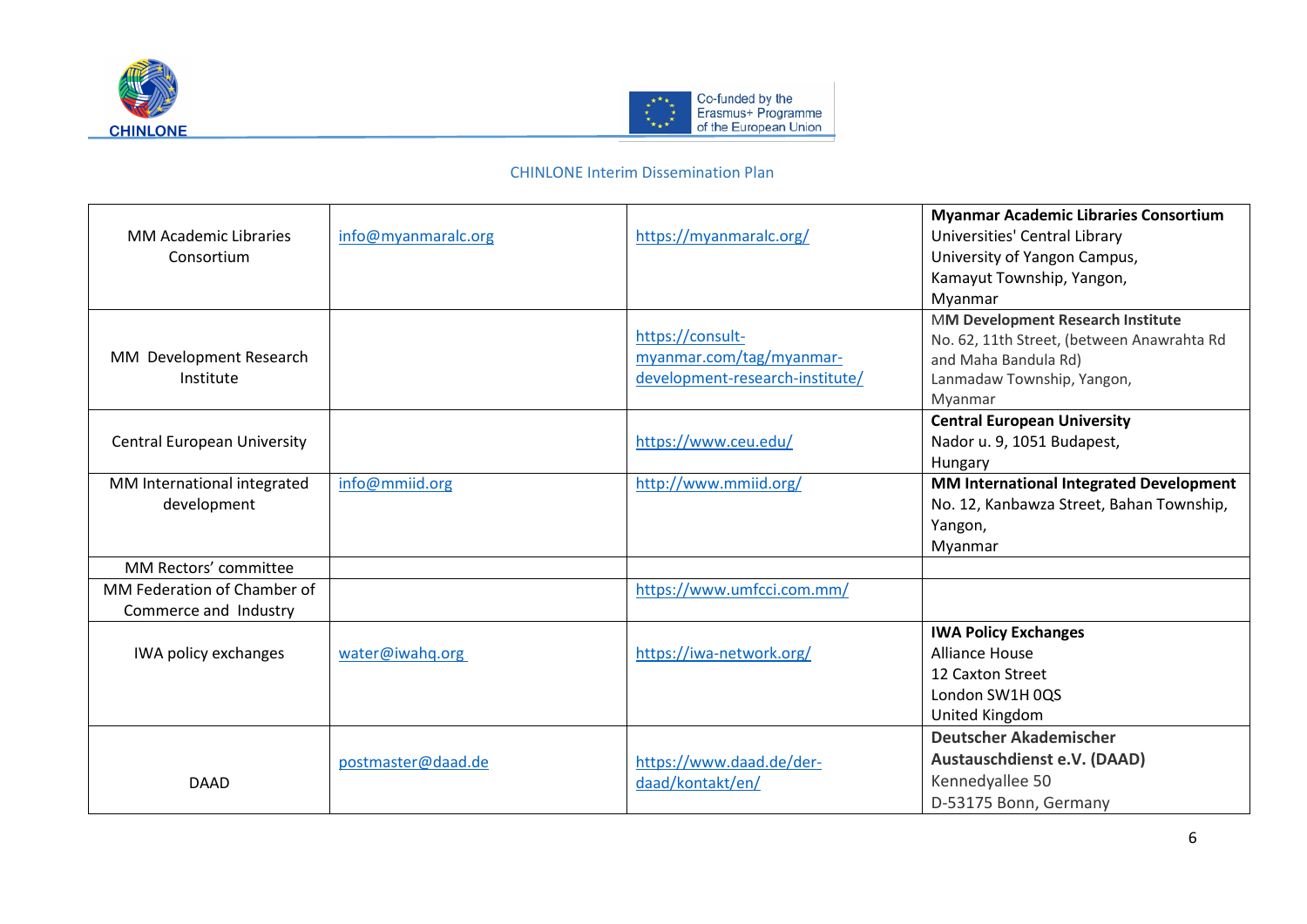



| <b>MM Academic Libraries</b><br>Consortium           | info@myanmaralc.org | https://myanmaralc.org/                                                         | <b>Myanmar Academic Libraries Consortium</b><br>Universities' Central Library<br>University of Yangon Campus,<br>Kamayut Township, Yangon,<br>Myanmar |
|------------------------------------------------------|---------------------|---------------------------------------------------------------------------------|-------------------------------------------------------------------------------------------------------------------------------------------------------|
| MM Development Research<br>Institute                 |                     | https://consult-<br>myanmar.com/tag/myanmar-<br>development-research-institute/ | MM Development Research Institute<br>No. 62, 11th Street, (between Anawrahta Rd<br>and Maha Bandula Rd)<br>Lanmadaw Township, Yangon,<br>Myanmar      |
| <b>Central European University</b>                   |                     | https://www.ceu.edu/                                                            | <b>Central European University</b><br>Nador u. 9, 1051 Budapest,<br>Hungary                                                                           |
| MM International integrated<br>development           | info@mmiid.org      | http://www.mmiid.org/                                                           | MM International Integrated Development<br>No. 12, Kanbawza Street, Bahan Township,<br>Yangon,<br>Myanmar                                             |
| MM Rectors' committee                                |                     |                                                                                 |                                                                                                                                                       |
| MM Federation of Chamber of<br>Commerce and Industry |                     | https://www.umfcci.com.mm/                                                      |                                                                                                                                                       |
| IWA policy exchanges                                 | water@iwahq.org     | https://iwa-network.org/                                                        | <b>IWA Policy Exchanges</b><br><b>Alliance House</b><br>12 Caxton Street<br>London SW1H 0QS<br>United Kingdom                                         |
| <b>DAAD</b>                                          | postmaster@daad.de  | https://www.daad.de/der-<br>daad/kontakt/en/                                    | <b>Deutscher Akademischer</b><br>Austauschdienst e.V. (DAAD)<br>Kennedyallee 50<br>D-53175 Bonn, Germany                                              |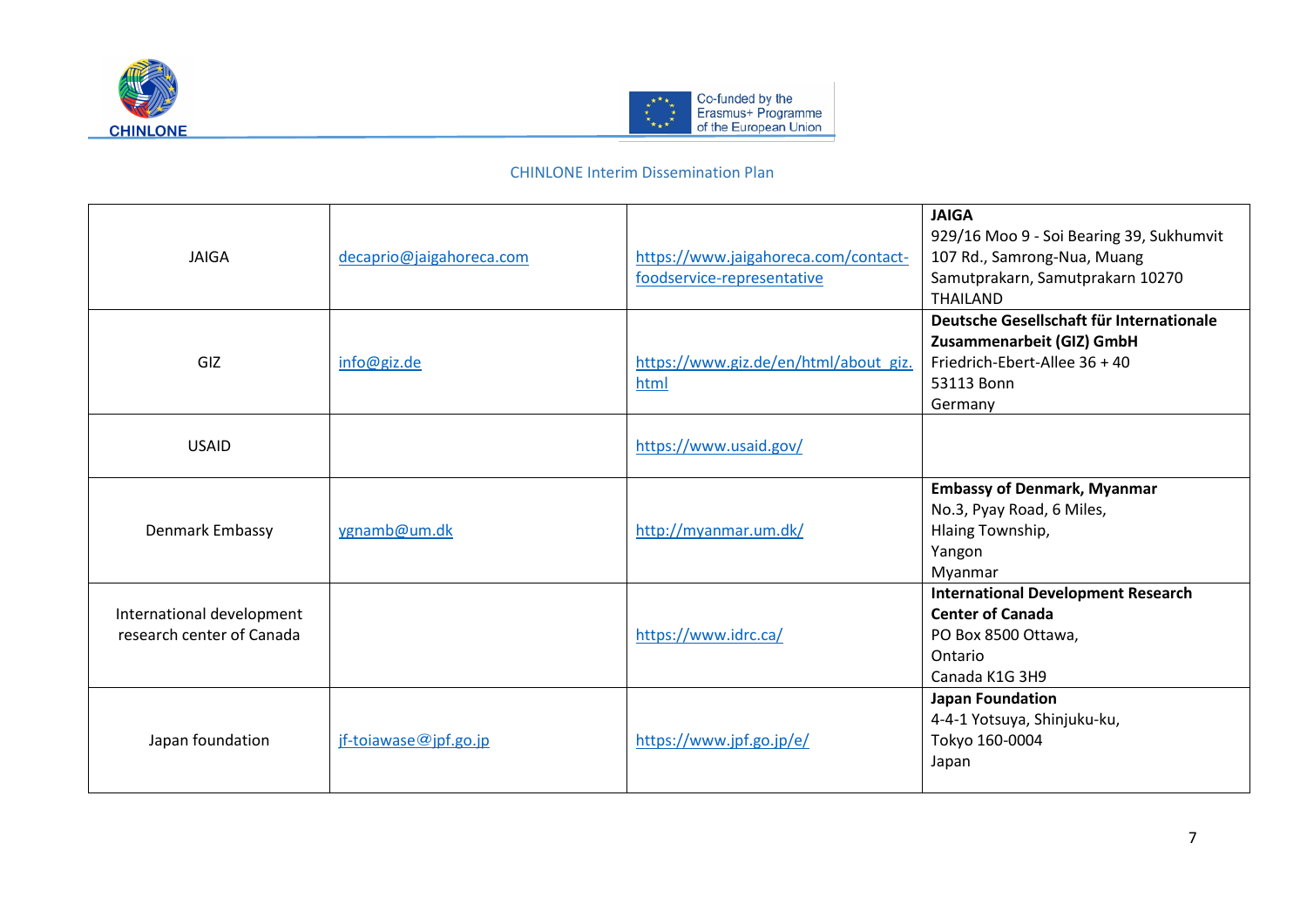



| <b>JAIGA</b>                                           | decaprio@jaigahoreca.com | https://www.jaigahoreca.com/contact-<br>foodservice-representative | <b>JAIGA</b><br>929/16 Moo 9 - Soi Bearing 39, Sukhumvit<br>107 Rd., Samrong-Nua, Muang<br>Samutprakarn, Samutprakarn 10270<br><b>THAILAND</b> |
|--------------------------------------------------------|--------------------------|--------------------------------------------------------------------|------------------------------------------------------------------------------------------------------------------------------------------------|
| GIZ                                                    | info@giz.de              | https://www.giz.de/en/html/about giz.<br>html                      | Deutsche Gesellschaft für Internationale<br>Zusammenarbeit (GIZ) GmbH<br>Friedrich-Ebert-Allee 36 + 40<br>53113 Bonn<br>Germany                |
| <b>USAID</b>                                           |                          | https://www.usaid.gov/                                             |                                                                                                                                                |
| Denmark Embassy                                        | ygnamb@um.dk             | http://myanmar.um.dk/                                              | <b>Embassy of Denmark, Myanmar</b><br>No.3, Pyay Road, 6 Miles,<br>Hlaing Township,<br>Yangon<br>Myanmar                                       |
| International development<br>research center of Canada |                          | https://www.idrc.ca/                                               | <b>International Development Research</b><br><b>Center of Canada</b><br>PO Box 8500 Ottawa,<br>Ontario<br>Canada K1G 3H9                       |
| Japan foundation                                       | $if-toiawase@ipf-go.jp$  | https://www.jpf.go.jp/e/                                           | <b>Japan Foundation</b><br>4-4-1 Yotsuya, Shinjuku-ku,<br>Tokyo 160-0004<br>Japan                                                              |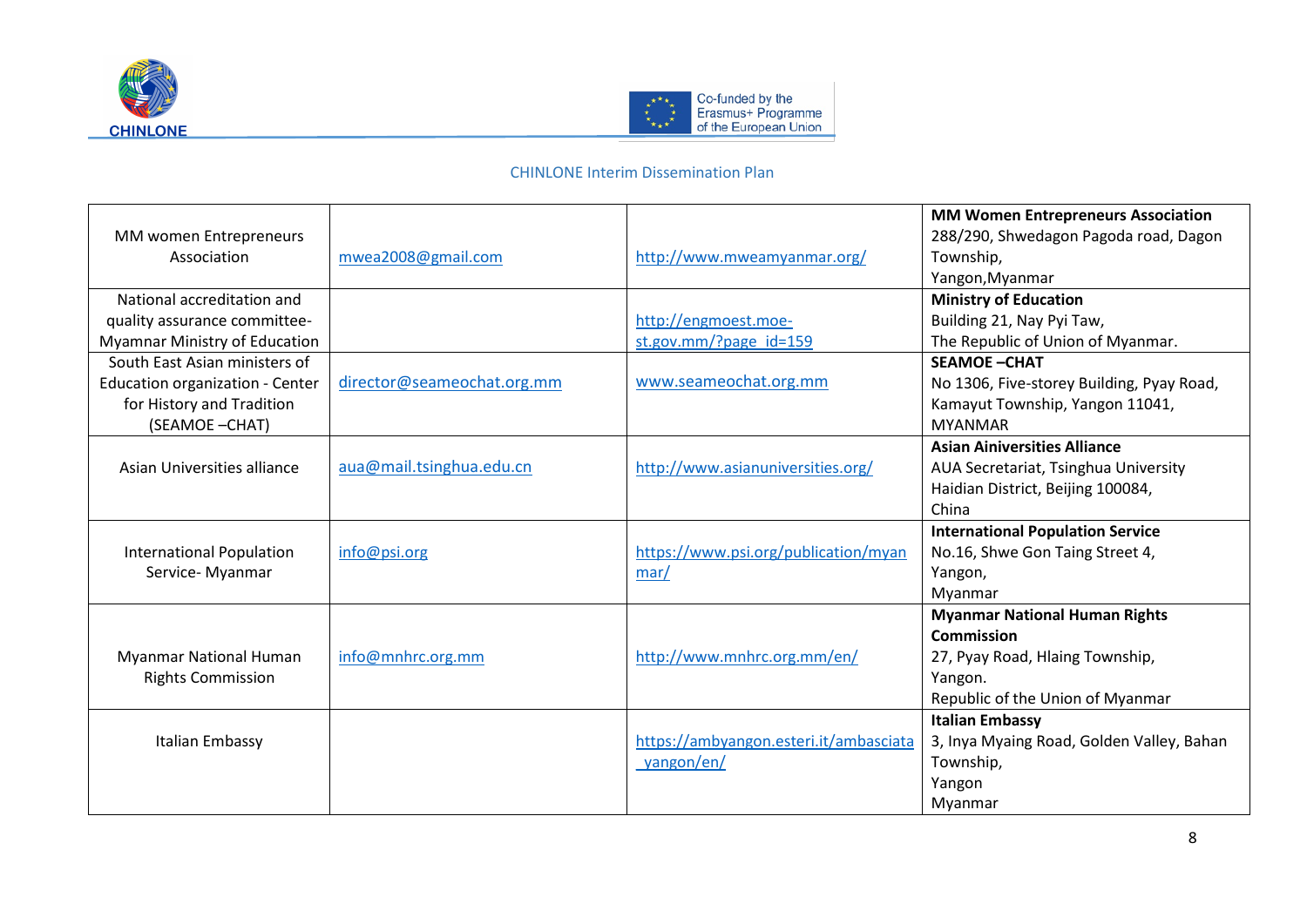



| MM women Entrepreneurs<br>Association | mwea2008@gmail.com         | http://www.mweamyanmar.org/            | <b>MM Women Entrepreneurs Association</b><br>288/290, Shwedagon Pagoda road, Dagon<br>Township,<br>Yangon, Myanmar |
|---------------------------------------|----------------------------|----------------------------------------|--------------------------------------------------------------------------------------------------------------------|
| National accreditation and            |                            |                                        | <b>Ministry of Education</b>                                                                                       |
| quality assurance committee-          |                            | http://engmoest.moe-                   | Building 21, Nay Pyi Taw,                                                                                          |
| <b>Myamnar Ministry of Education</b>  |                            | st.gov.mm/?page_id=159                 | The Republic of Union of Myanmar.                                                                                  |
| South East Asian ministers of         |                            |                                        | <b>SEAMOE-CHAT</b>                                                                                                 |
| Education organization - Center       | director@seameochat.org.mm | www.seameochat.org.mm                  | No 1306, Five-storey Building, Pyay Road,                                                                          |
| for History and Tradition             |                            |                                        | Kamayut Township, Yangon 11041,                                                                                    |
| (SEAMOE-CHAT)                         |                            |                                        | <b>MYANMAR</b>                                                                                                     |
|                                       |                            |                                        | <b>Asian Ainiversities Alliance</b>                                                                                |
| Asian Universities alliance           | aua@mail.tsinghua.edu.cn   | http://www.asianuniversities.org/      | AUA Secretariat, Tsinghua University                                                                               |
|                                       |                            |                                        | Haidian District, Beijing 100084,                                                                                  |
|                                       |                            |                                        | China                                                                                                              |
|                                       |                            |                                        | <b>International Population Service</b>                                                                            |
| <b>International Population</b>       | info@psi.org               | https://www.psi.org/publication/myan   | No.16, Shwe Gon Taing Street 4,                                                                                    |
| Service- Myanmar                      |                            | $\frac{mar}{ }$                        | Yangon,                                                                                                            |
|                                       |                            |                                        | Myanmar                                                                                                            |
|                                       |                            |                                        | <b>Myanmar National Human Rights</b>                                                                               |
|                                       |                            |                                        | Commission                                                                                                         |
| <b>Myanmar National Human</b>         | info@mnhrc.org.mm          | http://www.mnhrc.org.mm/en/            | 27, Pyay Road, Hlaing Township,                                                                                    |
| <b>Rights Commission</b>              |                            |                                        | Yangon.                                                                                                            |
|                                       |                            |                                        | Republic of the Union of Myanmar                                                                                   |
|                                       |                            |                                        | <b>Italian Embassy</b>                                                                                             |
| Italian Embassy                       |                            | https://ambyangon.esteri.it/ambasciata | 3, Inya Myaing Road, Golden Valley, Bahan                                                                          |
|                                       |                            | yangon/en/                             | Township,                                                                                                          |
|                                       |                            |                                        | Yangon                                                                                                             |
|                                       |                            |                                        | Myanmar                                                                                                            |